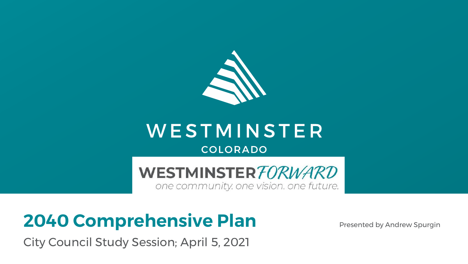

### WESTMINSTER COLORADO

WESTMINSTER FORWARD

one community, one vision, one future.

# **2040 Comprehensive Plan**

City Council Study Session; April 5, 2021

Presented by Andrew Spurgin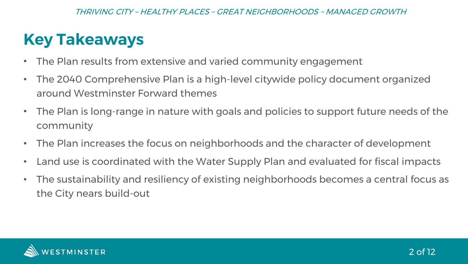### **Key Takeaways**

- The Plan results from extensive and varied community engagement
- The 2040 Comprehensive Plan is a high-level citywide policy document organized around Westminster Forward themes
- The Plan is long-range in nature with goals and policies to support future needs of the community
- The Plan increases the focus on neighborhoods and the character of development
- Land use is coordinated with the Water Supply Plan and evaluated for fiscal impacts
- The sustainability and resiliency of existing neighborhoods becomes a central focus as the City nears build-out

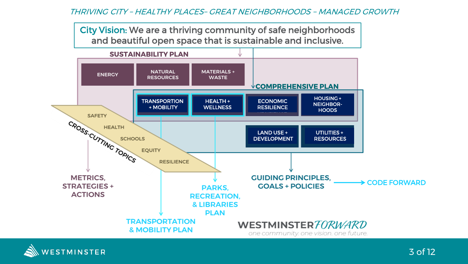City Vision: We are a thriving community of safe neighborhoods and beautiful open space that is sustainable and inclusive.



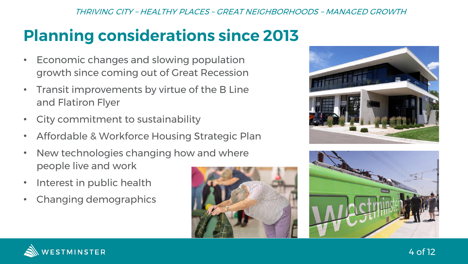# **Planning considerations since 2013**

- Economic changes and slowing population growth since coming out of Great Recession
- Transit improvements by virtue of the B Line and Flatiron Flyer
- City commitment to sustainability
- Affordable & Workforce Housing Strategic Plan
- New technologies changing how and where people live and work
- Interest in public health
- Changing demographics







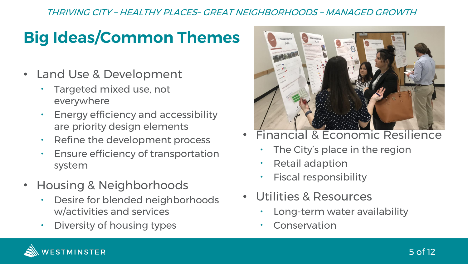## **Big Ideas/Common Themes**

- Land Use & Development
	- Targeted mixed use, not everywhere
	- Energy efficiency and accessibility are priority design elements
	- Refine the development process
	- Ensure efficiency of transportation system
- Housing & Neighborhoods
	- Desire for blended neighborhoods w/activities and services
	- Diversity of housing types



- Financial & Economic Resilience
	- The City's place in the region
	- Retail adaption
	- Fiscal responsibility
- Utilities & Resources
	- Long-term water availability
	- **Conservation**

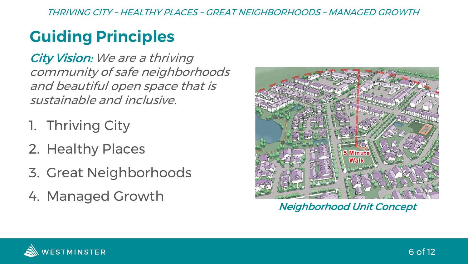## **Guiding Principles**

City Vision: We are a thriving community of safe neighborhoods and beautiful open space that is sustainable and inclusive.

- 1. Thriving City
- 2. Healthy Places
- 3. Great Neighborhoods
- 4. Managed Growth



Neighborhood Unit Concept

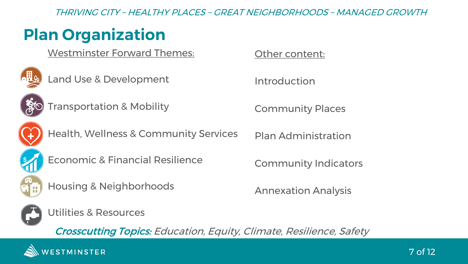### **Plan Organization**

Westminster Forward Themes:



Land Use & Development

Other content:

Introduction



Transportation & Mobility

Community Places

Plan Administration



Health, Wellness & Community Services



Economic & Financial Resilience



Housing & Neighborhoods

Community Indicators

Annexation Analysis



Utilities & Resources

Crosscutting Topics: Education, Equity, Climate, Resilience, Safety

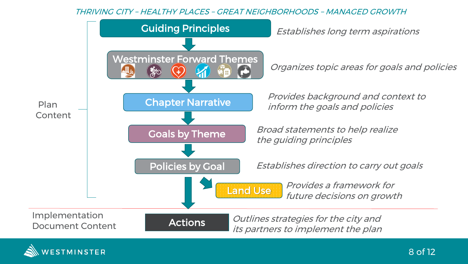

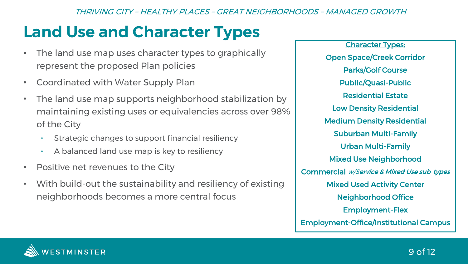### **Land Use and Character Types**

- The land use map uses character types to graphically represent the proposed Plan policies
- Coordinated with Water Supply Plan
- The land use map supports neighborhood stabilization by maintaining existing uses or equivalencies across over 98% of the City
	- Strategic changes to support financial resiliency
	- A balanced land use map is key to resiliency
- Positive net revenues to the City
- With build-out the sustainability and resiliency of existing neighborhoods becomes a more central focus

Character Types: Open Space/Creek Corridor Parks/Golf Course Public/Quasi-Public Residential Estate Low Density Residential Medium Density Residential Suburban Multi-Family Urban Multi-Family Mixed Use Neighborhood Commercial w/Service & Mixed Use sub-types Mixed Used Activity Center Neighborhood Office Employment-Flex Employment-Office/Institutional Campus

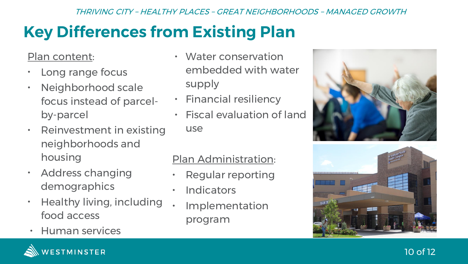# **Key Differences from Existing Plan**

### Plan content:

- Long range focus
- Neighborhood scale focus instead of parcelby-parcel
- Reinvestment in existing neighborhoods and housing
- Address changing demographics
- Healthy living, including food access
- Human services
- Water conservation embedded with water supply
- Financial resiliency
- Fiscal evaluation of land use

### Plan Administration:

- Regular reporting
- Indicators
- **Implementation** program







### 10 of 12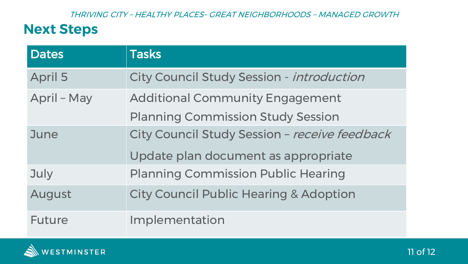### **Next Steps**

| <b>Dates</b>   | <b>Tasks</b>                                      |
|----------------|---------------------------------------------------|
| <b>April 5</b> | City Council Study Session - introduction         |
| April - May    | <b>Additional Community Engagement</b>            |
|                | <b>Planning Commission Study Session</b>          |
| June           | City Council Study Session - receive feedback     |
|                | Update plan document as appropriate               |
| July           | <b>Planning Commission Public Hearing</b>         |
| August         | <b>City Council Public Hearing &amp; Adoption</b> |
| <b>Future</b>  | Implementation                                    |